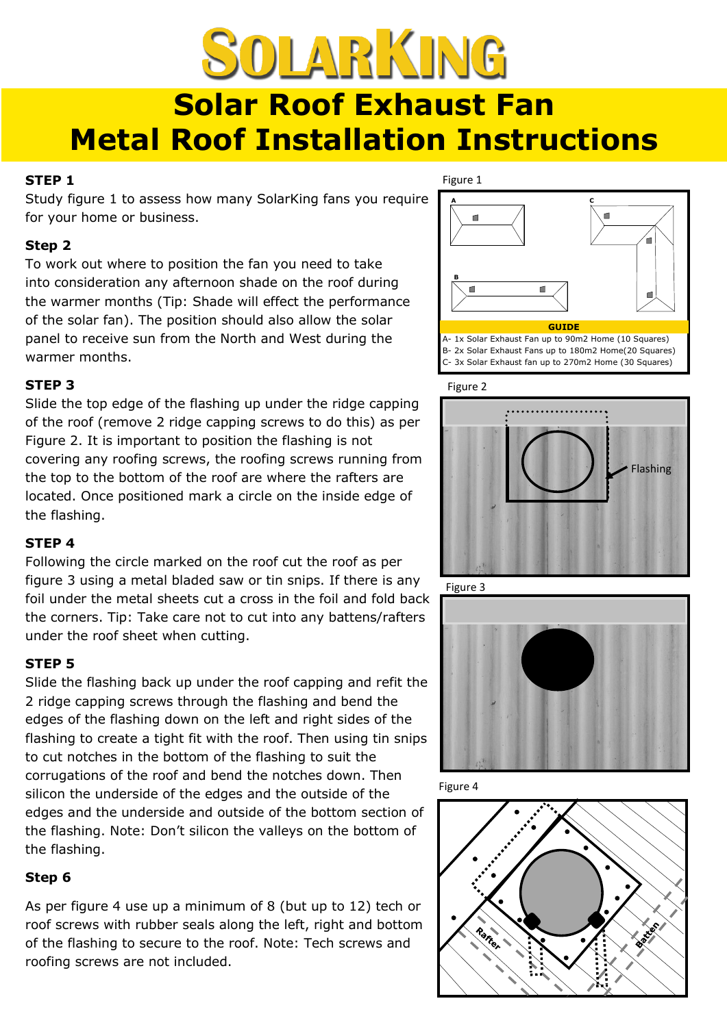# SOLARKING **Solar Roof Exhaust Fan Metal Roof Installation Instructions**

#### **STEP 1**

Study figure 1 to assess how many SolarKing fans you require for your home or business.

### **Step 2**

To work out where to position the fan you need to take into consideration any afternoon shade on the roof during the warmer months (Tip: Shade will effect the performance of the solar fan). The position should also allow the solar panel to receive sun from the North and West during the warmer months.

## **STEP 3**

Slide the top edge of the flashing up under the ridge capping of the roof (remove 2 ridge capping screws to do this) as per Figure 2. It is important to position the flashing is not covering any roofing screws, the roofing screws running from the top to the bottom of the roof are where the rafters are located. Once positioned mark a circle on the inside edge of the flashing.

## **STEP 4**

Following the circle marked on the roof cut the roof as per figure 3 using a metal bladed saw or tin snips. If there is any foil under the metal sheets cut a cross in the foil and fold back the corners. Tip: Take care not to cut into any battens/rafters under the roof sheet when cutting.

## **STEP 5**

Slide the flashing back up under the roof capping and refit the 2 ridge capping screws through the flashing and bend the edges of the flashing down on the left and right sides of the flashing to create a tight fit with the roof. Then using tin snips to cut notches in the bottom of the flashing to suit the corrugations of the roof and bend the notches down. Then silicon the underside of the edges and the outside of the edges and the underside and outside of the bottom section of the flashing. Note: Don't silicon the valleys on the bottom of the flashing.

## **Step 6**

As per figure 4 use up a minimum of 8 (but up to 12) tech or roof screws with rubber seals along the left, right and bottom of the flashing to secure to the roof. Note: Tech screws and roofing screws are not included.